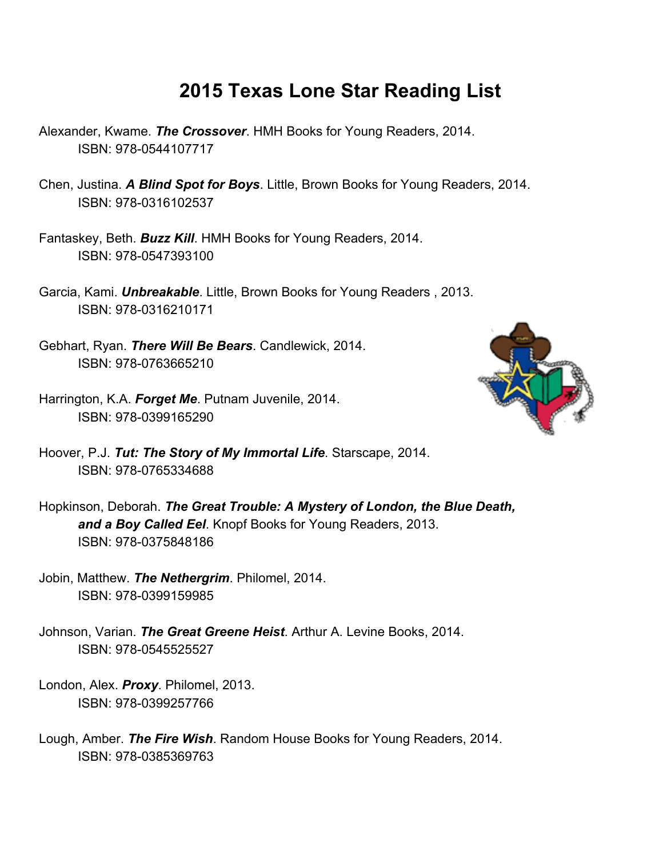## **2015 Texas Lone Star Reading List**

- Alexander, Kwame. *The Crossover*. HMH Books for Young Readers, 2014. ISBN: 978-0544107717
- Chen, Justina. *A Blind Spot for Boys*. Little, Brown Books for Young Readers, 2014. ISBN: 978-0316102537
- Fantaskey, Beth. *Buzz Kill*. HMH Books for Young Readers, 2014. ISBN: 978-0547393100
- Garcia, Kami. *Unbreakable*. Little, Brown Books for Young Readers , 2013. ISBN: 978-0316210171
- Gebhart, Ryan. *There Will Be Bears*. Candlewick, 2014. ISBN: 978-0763665210
- Harrington, K.A. *Forget Me*. Putnam Juvenile, 2014. ISBN: 978-0399165290



- Hoover, P.J. *Tut: The Story of My Immortal Life*. Starscape, 2014. ISBN: 978-0765334688
- Hopkinson, Deborah. *The Great Trouble: A Mystery of London, the Blue Death, and a Boy Called Eel*. Knopf Books for Young Readers, 2013. ISBN: 978-0375848186
- Jobin, Matthew. *The Nethergrim*. Philomel, 2014. ISBN: 978-0399159985
- Johnson, Varian. *The Great Greene Heist*. Arthur A. Levine Books, 2014. ISBN: 978-0545525527
- London, Alex. *Proxy*. Philomel, 2013. ISBN: 978-0399257766
- Lough, Amber. *The Fire Wish*. Random House Books for Young Readers, 2014. ISBN: 978-0385369763